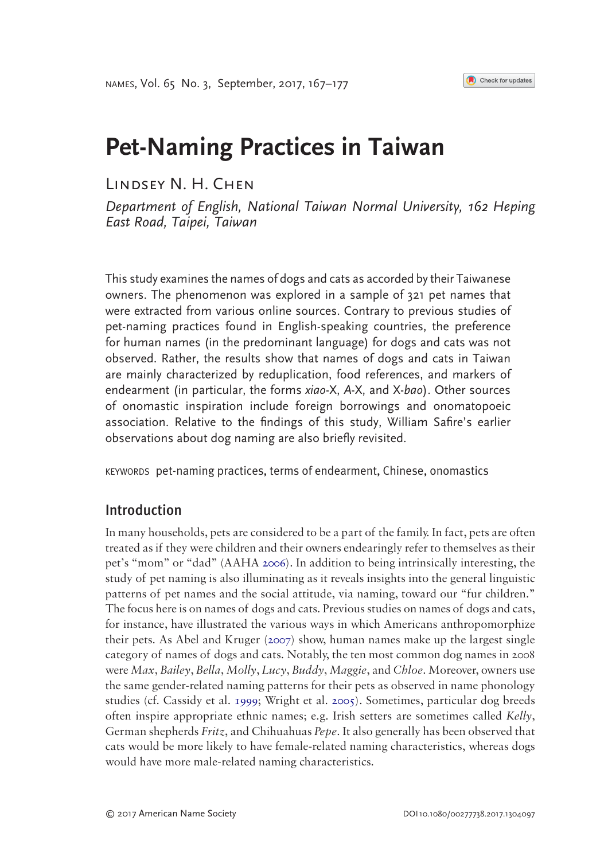#### Check for updates

# **Pet-Naming Practices in Taiwan**

Lindsey N. H. Chen

*Department of English, National Taiwan Normal University, 162 Heping East Road, Taipei, Taiwan*

This study examines the names of dogs and cats as accorded by their Taiwanese owners. The phenomenon was explored in a sample of 321 pet names that were extracted from various online sources. Contrary to previous studies of pet-naming practices found in English-speaking countries, the preference for human names (in the predominant language) for dogs and cats was not observed. Rather, the results show that names of dogs and cats in Taiwan are mainly characterized by reduplication, food references, and markers of endearment (in particular, the forms *xiao*-X, *A*-X, and X-*bao*). Other sources of onomastic inspiration include foreign borrowings and onomatopoeic association. Relative to the findings of this study, William Safire's earlier observations about dog naming are also briefly revisited.

KEYWORDS pet-naming practices, terms of endearment, Chinese, onomastics

### Introduction

<span id="page-0-3"></span><span id="page-0-2"></span><span id="page-0-1"></span><span id="page-0-0"></span>In many households, pets are considered to be a part of the family. In fact, pets are often treated as if they were children and their owners endearingly refer to themselves as their pet's "mom" or "dad" (AAHA [2006](#page-7-0)). In addition to being intrinsically interesting, the study of pet naming is also illuminating as it reveals insights into the general linguistic patterns of pet names and the social attitude, via naming, toward our "fur children." The focus here is on names of dogs and cats. Previous studies on names of dogs and cats, for instance, have illustrated the various ways in which Americans anthropomorphize their pets. As Abel and Kruger ([2007\)](#page-7-1) show, human names make up the largest single category of names of dogs and cats. Notably, the ten most common dog names in 2008 were *Max*, *Bailey*, *Bella*, *Molly*, *Lucy*, *Buddy*, *Maggie*, and *Chloe*. Moreover, owners use the same gender-related naming patterns for their pets as observed in name phonology studies (cf. Cassidy et al. [1999;](#page-7-2) Wright et al. [2005](#page-7-3)). Sometimes, particular dog breeds often inspire appropriate ethnic names; e.g. Irish setters are sometimes called *Kelly*, German shepherds *Fritz*, and Chihuahuas *Pepe*. It also generally has been observed that cats would be more likely to have female-related naming characteristics, whereas dogs would have more male-related naming characteristics.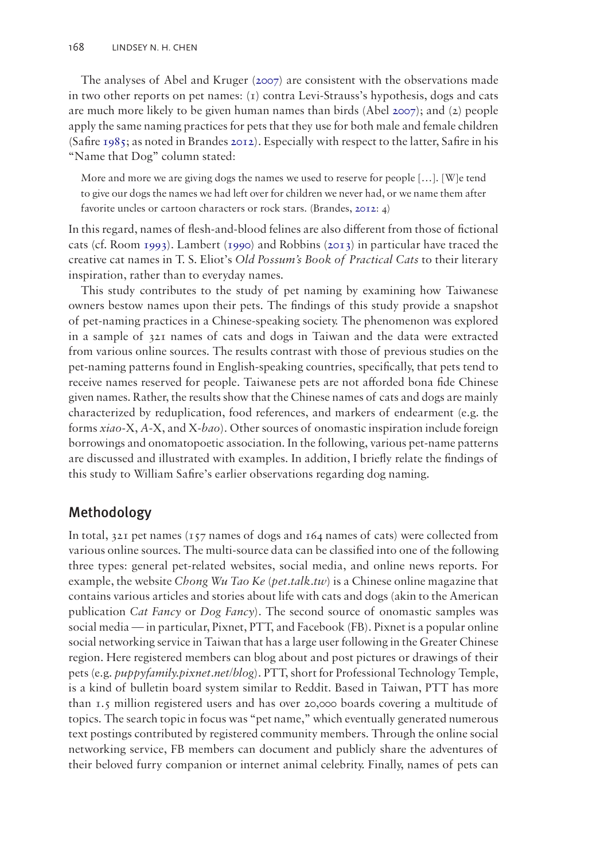The analyses of Abel and Kruger ([2007\)](#page-7-1) are consistent with the observations made in two other reports on pet names: (1) contra Levi-Strauss's hypothesis, dogs and cats are much more likely to be given human names than birds (Abel [2007\)](#page-7-4); and (2) people apply the same naming practices for pets that they use for both male and female children (Safire [1985](#page-7-5); as noted in Brandes [2012\)](#page-7-6). Especially with respect to the latter, Safire in his "Name that Dog" column stated:

<span id="page-1-5"></span><span id="page-1-3"></span><span id="page-1-2"></span><span id="page-1-1"></span><span id="page-1-0"></span>More and more we are giving dogs the names we used to reserve for people […]. [W]e tend to give our dogs the names we had left over for children we never had, or we name them after favorite uncles or cartoon characters or rock stars. (Brandes, [2012](#page-7-5): 4)

<span id="page-1-4"></span>In this regard, names of flesh-and-blood felines are also different from those of fictional cats (cf. Room [1993](#page-7-7)). Lambert ([1990\)](#page-7-8) and Robbins ([2013\)](#page-7-9) in particular have traced the creative cat names in T. S. Eliot's *Old Possum's Book of Practical Cats* to their literary inspiration, rather than to everyday names.

This study contributes to the study of pet naming by examining how Taiwanese owners bestow names upon their pets. The findings of this study provide a snapshot of pet-naming practices in a Chinese-speaking society. The phenomenon was explored in a sample of 321 names of cats and dogs in Taiwan and the data were extracted from various online sources. The results contrast with those of previous studies on the pet-naming patterns found in English-speaking countries, specifically, that pets tend to receive names reserved for people. Taiwanese pets are not afforded bona fide Chinese given names. Rather, the results show that the Chinese names of cats and dogs are mainly characterized by reduplication, food references, and markers of endearment (e.g. the forms *xiao*-X, *A*-X, and X-*bao*). Other sources of onomastic inspiration include foreign borrowings and onomatopoetic association. In the following, various pet-name patterns are discussed and illustrated with examples. In addition, I briefly relate the findings of this study to William Safire's earlier observations regarding dog naming.

### Methodology

In total, 321 pet names (157 names of dogs and 164 names of cats) were collected from various online sources. The multi-source data can be classified into one of the following three types: general pet-related websites, social media, and online news reports. For example, the website *Chong Wu Tao Ke* (*pet.talk.tw*) is a Chinese online magazine that contains various articles and stories about life with cats and dogs (akin to the American publication *Cat Fancy* or *Dog Fancy*). The second source of onomastic samples was social media — in particular, Pixnet, PTT, and Facebook (FB). Pixnet is a popular online social networking service in Taiwan that has a large user following in the Greater Chinese region. Here registered members can blog about and post pictures or drawings of their pets (e.g. *puppyfamily.pixnet.net/blog*). PTT, short for Professional Technology Temple, is a kind of bulletin board system similar to Reddit. Based in Taiwan, PTT has more than 1.5 million registered users and has over 20,000 boards covering a multitude of topics. The search topic in focus was "pet name," which eventually generated numerous text postings contributed by registered community members. Through the online social networking service, FB members can document and publicly share the adventures of their beloved furry companion or internet animal celebrity. Finally, names of pets can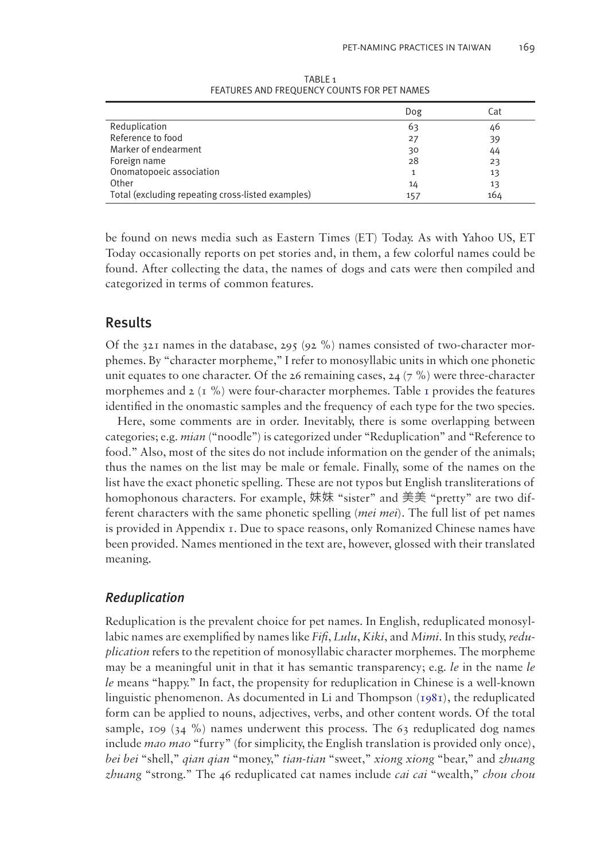|                                                   | Dog | Cat |
|---------------------------------------------------|-----|-----|
| Reduplication                                     | 63  | 46  |
| Reference to food                                 | 27  | 39  |
| Marker of endearment                              | 30  | 44  |
| Foreign name                                      | 28  | 23  |
| Onomatopoeic association                          |     | 13  |
| Other                                             | 14  | 13  |
| Total (excluding repeating cross-listed examples) | 157 | 164 |

<span id="page-2-0"></span>TABLE 1 FEATURES AND FREQUENCY COUNTS FOR PET NAMES

be found on news media such as Eastern Times (ET) Today. As with Yahoo US, ET Today occasionally reports on pet stories and, in them, a few colorful names could be found. After collecting the data, the names of dogs and cats were then compiled and categorized in terms of common features.

#### Results

Of the 321 names in the database, 295 (92 %) names consisted of two-character morphemes. By "character morpheme," I refer to monosyllabic units in which one phonetic unit equates to one character. Of the 26 remaining cases, 24 (7 %) were three-character morphemes and  $2 \left(1 \frac{\omega_0}{\omega}\right)$  were four-character morphemes. Table [1](#page-2-0) provides the features identified in the onomastic samples and the frequency of each type for the two species.

Here, some comments are in order. Inevitably, there is some overlapping between categories; e.g. *mian* ("noodle") is categorized under "Reduplication" and "Reference to food." Also, most of the sites do not include information on the gender of the animals; thus the names on the list may be male or female. Finally, some of the names on the list have the exact phonetic spelling. These are not typos but English transliterations of homophonous characters. For example, 妹妹 "sister" and 美美 "pretty" are two different characters with the same phonetic spelling (*mei mei*). The full list of pet names is provided in Appendix 1. Due to space reasons, only Romanized Chinese names have been provided. Names mentioned in the text are, however, glossed with their translated meaning.

#### *Reduplication*

<span id="page-2-1"></span>Reduplication is the prevalent choice for pet names. In English, reduplicated monosyllabic names are exemplified by names like *Fifi*, *Lulu*, *Kiki*, and *Mimi*. In this study, *reduplication* refers to the repetition of monosyllabic character morphemes. The morpheme may be a meaningful unit in that it has semantic transparency; e.g. *le* in the name *le le* means "happy." In fact, the propensity for reduplication in Chinese is a well-known linguistic phenomenon. As documented in Li and Thompson  $(1981)$  $(1981)$  $(1981)$ , the reduplicated form can be applied to nouns, adjectives, verbs, and other content words. Of the total sample, 109 ( $34\%$ ) names underwent this process. The 63 reduplicated dog names include *mao mao* "furry" (for simplicity, the English translation is provided only once), *bei bei* "shell," *qian qian* "money," *tian*-*tian* "sweet," *xiong xiong* "bear," and *zhuang zhuang* "strong." The 46 reduplicated cat names include *cai cai* "wealth," *chou chou*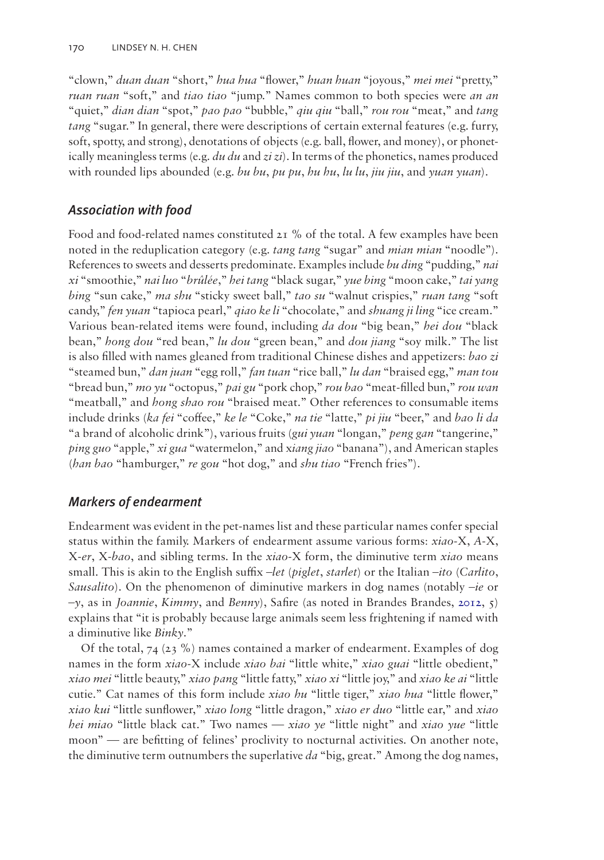"clown," *duan duan* "short," *hua hua* "flower," *huan huan* "joyous," *mei mei* "pretty," *ruan ruan* "soft," and *tiao tiao* "jump." Names common to both species were *an an* "quiet," *dian dian* "spot," *pao pao* "bubble," *qiu qiu* "ball," *rou rou* "meat," and *tang tang* "sugar." In general, there were descriptions of certain external features (e.g. furry, soft, spotty, and strong), denotations of objects (e.g. ball, flower, and money), or phonetically meaningless terms (e.g. *du du* and *zi zi*). In terms of the phonetics, names produced with rounded lips abounded (e.g. *bu bu*, *pu pu*, *hu hu*, *lu lu*, *jiu jiu*, and *yuan yuan*).

### *Association with food*

Food and food-related names constituted  $2I\%$  of the total. A few examples have been noted in the reduplication category (e.g. *tang tang* "sugar" and *mian mian* "noodle"). References to sweets and desserts predominate. Examples include *bu ding* "pudding," *nai xi* "smoothie," *nai luo* "*brûlée*," *hei tang* "black sugar," *yue bing* "moon cake," *tai yang bing* "sun cake," *ma shu* "sticky sweet ball," *tao su* "walnut crispies," *ruan tang* "soft candy," *fen yuan* "tapioca pearl," *qiao ke li* "chocolate," and *shuang ji ling* "ice cream." Various bean-related items were found, including *da dou* "big bean," *hei dou* "black bean," *hong dou* "red bean," *lu dou* "green bean," and *dou jiang* "soy milk." The list is also filled with names gleaned from traditional Chinese dishes and appetizers: *bao zi* "steamed bun," *dan juan* "egg roll," *fan tuan* "rice ball," *lu dan* "braised egg," *man tou* "bread bun," *mo yu* "octopus," *pai gu* "pork chop," *rou bao* "meat-filled bun," *rou wan* "meatball," and *hong shao rou* "braised meat." Other references to consumable items include drinks (*ka fei* "coffee," *ke le* "Coke," *na tie* "latte," *pi jiu* "beer," and *bao li da* "a brand of alcoholic drink"), various fruits (*gui yuan* "longan," *peng gan* "tangerine," *ping guo* "apple," *xi gua* "watermelon," and x*iang jiao* "banana"), and American staples (*han bao* "hamburger," *re gou* "hot dog," and *shu tiao* "French fries").

### *Markers of endearment*

Endearment was evident in the pet-names list and these particular names confer special status within the family. Markers of endearment assume various forms: *xiao*-X, *A*-X, X-*er*, X-*bao*, and sibling terms. In the *xiao*-X form, the diminutive term *xiao* means small. This is akin to the English suffix –*let* (*piglet*, *starlet*) or the Italian –*ito* (*Carlito*, *Sausalito*). On the phenomenon of diminutive markers in dog names (notably –*ie* or –*y*, as in *Joannie*, *Kimmy*, and *Benny*), Safire (as noted in Brandes Brandes, [2012](#page-7-6), 5) explains that "it is probably because large animals seem less frightening if named with a diminutive like *Binky*."

Of the total, 74 (23 %) names contained a marker of endearment. Examples of dog names in the form *xiao*-X include *xiao bai* "little white," *xiao guai* "little obedient," *xiao mei* "little beauty," *xiao pang* "little fatty," *xiao xi* "little joy," and *xiao ke ai* "little cutie." Cat names of this form include *xiao hu* "little tiger," *xiao hua* "little flower," *xiao kui* "little sunflower," *xiao long* "little dragon," *xiao er duo* "little ear," and *xiao hei miao* "little black cat." Two names — *xiao ye* "little night" and *xiao yue* "little moon" — are befitting of felines' proclivity to nocturnal activities. On another note, the diminutive term outnumbers the superlative *da* "big, great." Among the dog names,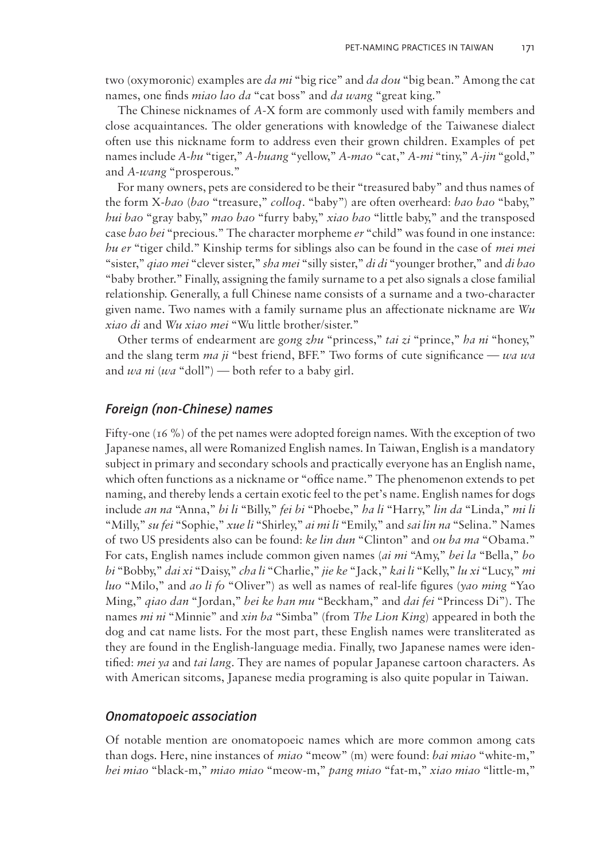two (oxymoronic) examples are *da mi* "big rice" and *da dou* "big bean." Among the cat names, one finds *miao lao da* "cat boss" and *da wang* "great king."

The Chinese nicknames of *A*-X form are commonly used with family members and close acquaintances. The older generations with knowledge of the Taiwanese dialect often use this nickname form to address even their grown children. Examples of pet names include *A*-*hu* "tiger," *A*-*huang* "yellow," *A*-*mao* "cat," *A*-*mi* "tiny," *A*-*jin* "gold," and *A*-*wang* "prosperous."

For many owners, pets are considered to be their "treasured baby" and thus names of the form X-*bao* (*bao* "treasure," *colloq.* "baby") are often overheard: *bao bao* "baby," *hui bao* "gray baby," *mao bao* "furry baby," *xiao bao* "little baby," and the transposed case *bao bei* "precious." The character morpheme *er* "child" was found in one instance: *hu er* "tiger child." Kinship terms for siblings also can be found in the case of *mei mei* "sister," *qiao mei* "clever sister," *sha mei* "silly sister," *di di* "younger brother," and *di bao* "baby brother." Finally, assigning the family surname to a pet also signals a close familial relationship. Generally, a full Chinese name consists of a surname and a two-character given name. Two names with a family surname plus an affectionate nickname are *Wu xiao di* and *Wu xiao mei* "Wu little brother/sister."

Other terms of endearment are *gong zhu* "princess," *tai zi* "prince," *ha ni* "honey," and the slang term *ma ji* "best friend, BFF." Two forms of cute significance — *wa wa* and *wa ni* (*wa* "doll") — both refer to a baby girl.

#### *Foreign (non-Chinese) names*

Fifty-one (16 %) of the pet names were adopted foreign names. With the exception of two Japanese names, all were Romanized English names. In Taiwan, English is a mandatory subject in primary and secondary schools and practically everyone has an English name, which often functions as a nickname or "office name." The phenomenon extends to pet naming, and thereby lends a certain exotic feel to the pet's name. English names for dogs include *an na* "Anna," *bi li* "Billy," *fei bi* "Phoebe," *ha li* "Harry," *lin da* "Linda," *mi li* "Milly," *su fei* "Sophie," *xue li* "Shirley," *ai mi li* "Emily," and *sai lin na* "Selina." Names of two US presidents also can be found: *ke lin dun* "Clinton" and *ou ba ma* "Obama." For cats, English names include common given names (*ai mi* "Amy," *bei la* "Bella," *bo bi* "Bobby," *dai xi* "Daisy," *cha li* "Charlie," *jie ke* "Jack," *kai li* "Kelly," *lu xi* "Lucy," *mi luo* "Milo," and *ao li fo* "Oliver") as well as names of real-life figures (*yao ming* "Yao Ming," *qiao dan* "Jordan," *bei ke han mu* "Beckham," and *dai fei* "Princess Di"). The names *mi ni* "Minnie" and *xin ba* "Simba" (from *The Lion King*) appeared in both the dog and cat name lists. For the most part, these English names were transliterated as they are found in the English-language media. Finally, two Japanese names were identified: *mei ya* and *tai lang*. They are names of popular Japanese cartoon characters. As with American sitcoms, Japanese media programing is also quite popular in Taiwan.

#### *Onomatopoeic association*

Of notable mention are onomatopoeic names which are more common among cats than dogs. Here, nine instances of *miao* "meow" (m) were found: *bai miao* "white-m," *hei miao* "black-m," *miao miao* "meow-m," *pang miao* "fat-m," *xiao miao* "little-m,"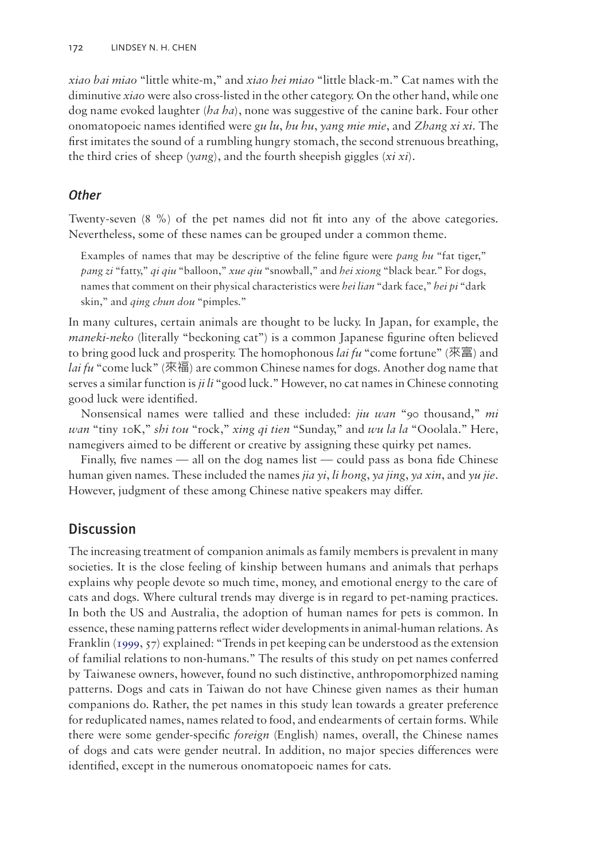*xiao bai miao* "little white-m," and *xiao hei miao* "little black-m." Cat names with the diminutive *xiao* were also cross-listed in the other category. On the other hand, while one dog name evoked laughter (*ha ha*), none was suggestive of the canine bark. Four other onomatopoeic names identified were *gu lu*, *hu hu*, *yang mie mie*, and *Zhang xi xi*. The first imitates the sound of a rumbling hungry stomach, the second strenuous breathing, the third cries of sheep (*yang*), and the fourth sheepish giggles (*xi xi*).

#### *Other*

Twenty-seven (8 %) of the pet names did not fit into any of the above categories. Nevertheless, some of these names can be grouped under a common theme.

Examples of names that may be descriptive of the feline figure were *pang hu* "fat tiger," *pang zi* "fatty," *qi qiu* "balloon," *xue qiu* "snowball," and *hei xiong* "black bear." For dogs, names that comment on their physical characteristics were *hei lian* "dark face," *hei pi* "dark skin," and *qing chun dou* "pimples."

In many cultures, certain animals are thought to be lucky. In Japan, for example, the *maneki*-*neko* (literally "beckoning cat") is a common Japanese figurine often believed to bring good luck and prosperity. The homophonous *lai fu* "come fortune" (來富) and *lai fu* "come luck" (來福) are common Chinese names for dogs. Another dog name that serves a similar function is *ji li* "good luck." However, no cat names in Chinese connoting good luck were identified.

Nonsensical names were tallied and these included: *jiu wan* "90 thousand," *mi wan* "tiny 10K," *shi tou* "rock," *xing qi tien* "Sunday," and *wu la la* "Ooolala." Here, namegivers aimed to be different or creative by assigning these quirky pet names.

Finally, five names — all on the dog names list — could pass as bona fide Chinese human given names. These included the names *jia yi*, *li hong*, *ya jing*, *ya xin*, and *yu jie*. However, judgment of these among Chinese native speakers may differ.

### **Discussion**

<span id="page-5-0"></span>The increasing treatment of companion animals as family members is prevalent in many societies. It is the close feeling of kinship between humans and animals that perhaps explains why people devote so much time, money, and emotional energy to the care of cats and dogs. Where cultural trends may diverge is in regard to pet-naming practices. In both the US and Australia, the adoption of human names for pets is common. In essence, these naming patterns reflect wider developments in animal-human relations. As Franklin [\(1999](#page-7-11), 57) explained: "Trends in pet keeping can be understood as the extension of familial relations to non-humans." The results of this study on pet names conferred by Taiwanese owners, however, found no such distinctive, anthropomorphized naming patterns. Dogs and cats in Taiwan do not have Chinese given names as their human companions do. Rather, the pet names in this study lean towards a greater preference for reduplicated names, names related to food, and endearments of certain forms. While there were some gender-specific *foreign* (English) names, overall, the Chinese names of dogs and cats were gender neutral. In addition, no major species differences were identified, except in the numerous onomatopoeic names for cats.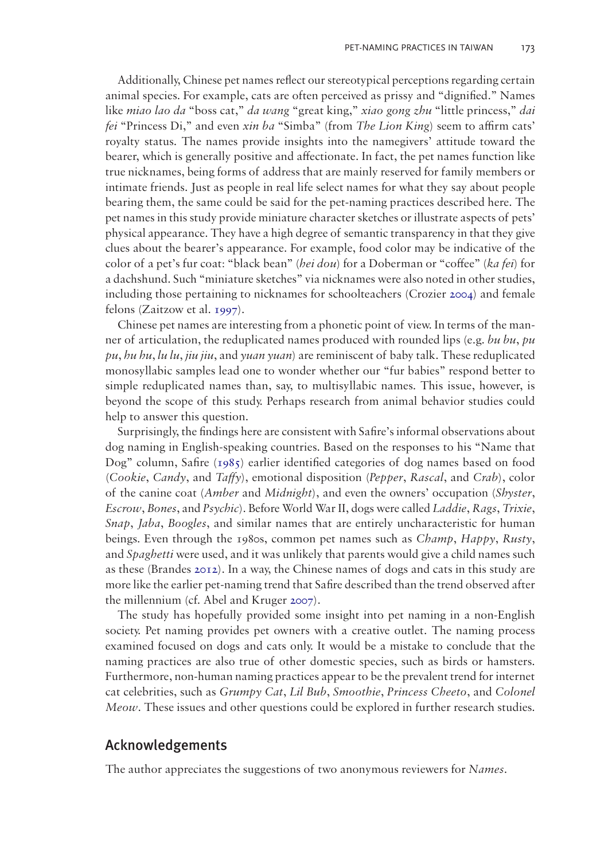Additionally, Chinese pet names reflect our stereotypical perceptions regarding certain animal species. For example, cats are often perceived as prissy and "dignified." Names like *miao lao da* "boss cat," *da wang* "great king," *xiao gong zhu* "little princess," *dai fei* "Princess Di," and even *xin ba* "Simba" (from *The Lion King*) seem to affirm cats' royalty status. The names provide insights into the namegivers' attitude toward the bearer, which is generally positive and affectionate. In fact, the pet names function like true nicknames, being forms of address that are mainly reserved for family members or intimate friends. Just as people in real life select names for what they say about people bearing them, the same could be said for the pet-naming practices described here. The pet names in this study provide miniature character sketches or illustrate aspects of pets' physical appearance. They have a high degree of semantic transparency in that they give clues about the bearer's appearance. For example, food color may be indicative of the color of a pet's fur coat: "black bean" (*hei dou*) for a Doberman or "coffee" (*ka fei*) for a dachshund. Such "miniature sketches" via nicknames were also noted in other studies, including those pertaining to nicknames for schoolteachers (Crozier [2004](#page-7-12)) and female felons (Zaitzow et al. [1997](#page-7-13)).

<span id="page-6-1"></span><span id="page-6-0"></span>Chinese pet names are interesting from a phonetic point of view. In terms of the manner of articulation, the reduplicated names produced with rounded lips (e.g. *bu bu*, *pu pu*, *hu hu*, *lu lu*, *jiu jiu*, and *yuan yuan*) are reminiscent of baby talk. These reduplicated monosyllabic samples lead one to wonder whether our "fur babies" respond better to simple reduplicated names than, say, to multisyllabic names. This issue, however, is beyond the scope of this study. Perhaps research from animal behavior studies could help to answer this question.

Surprisingly, the findings here are consistent with Safire's informal observations about dog naming in English-speaking countries. Based on the responses to his "Name that Dog" column, Safire [\(1985](#page-7-5)) earlier identified categories of dog names based on food (*Cookie*, *Candy*, and *Taffy*), emotional disposition (*Pepper*, *Rascal*, and *Crab*), color of the canine coat (*Amber* and *Midnight*), and even the owners' occupation (*Shyster*, *Escrow*, *Bones*, and *Psychic*). Before World War II, dogs were called *Laddie*, *Rags*, *Trixie*, *Snap*, *Jaba*, *Boogles*, and similar names that are entirely uncharacteristic for human beings. Even through the 1980s, common pet names such as *Champ*, *Happy*, *Rusty*, and *Spaghetti* were used, and it was unlikely that parents would give a child names such as these (Brandes [2012\)](#page-7-6). In a way, the Chinese names of dogs and cats in this study are more like the earlier pet-naming trend that Safire described than the trend observed after the millennium (cf. Abel and Kruger [2007](#page-7-1)).

The study has hopefully provided some insight into pet naming in a non-English society. Pet naming provides pet owners with a creative outlet. The naming process examined focused on dogs and cats only. It would be a mistake to conclude that the naming practices are also true of other domestic species, such as birds or hamsters. Furthermore, non-human naming practices appear to be the prevalent trend for internet cat celebrities, such as *Grumpy Cat*, *Lil Bub*, *Smoothie*, *Princess Cheeto*, and *Colonel Meow*. These issues and other questions could be explored in further research studies.

### Acknowledgements

The author appreciates the suggestions of two anonymous reviewers for *Names*.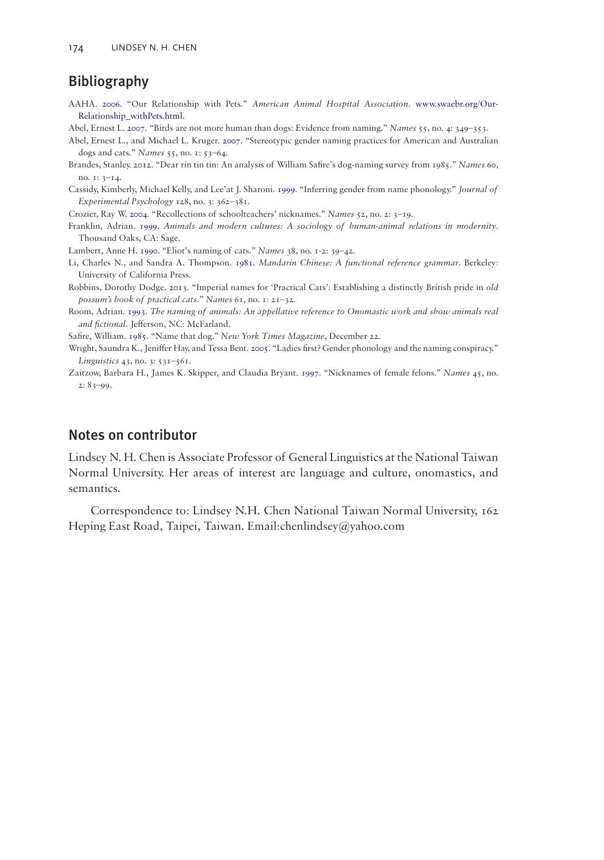### Bibliography

<span id="page-7-0"></span>AAHA. [2006.](#page-0-0) "Our Relationship with Pets." *American Animal Hospital Association*. [www.swaebr.org/Our-](http://www.swaebr.org/Our-Relationship_withPets.html)[Relationship\\_withPets.html](http://www.swaebr.org/Our-Relationship_withPets.html).

<span id="page-7-4"></span>Abel, Ernest L. [2007](#page-1-0). "Birds are not more human than dogs: Evidence from naming." *Names* 55, no. 4: 349–353.

- <span id="page-7-1"></span>Abel, Ernest L., and Michael L. Kruger. [2007](#page-0-1). "Stereotypic gender naming practices for American and Australian dogs and cats." *Names* 55, no. 1: 53–64.
- <span id="page-7-6"></span>Brandes, Stanley. [2012](#page-1-1). "Dear rin tin tin: An analysis of William Safire's dog-naming survey from 1985." *Names* 60, no.  $T: 2-TA$ .
- <span id="page-7-2"></span>Cassidy, Kimberly, Michael Kelly, and Lee'at J. Sharoni. [1999.](#page-0-2) "Inferring gender from name phonology." *Journal of Experimental Psychology* 128, no. 3: 362–381.

<span id="page-7-12"></span>Crozier, Ray W. [2004](#page-6-0). "Recollections of schoolteachers' nicknames." *Names* 52, no. 2: 3–19.

<span id="page-7-11"></span>Franklin, Adrian. [1999](#page-5-0). *Animals and modern cultures: A sociology of human-animal relations in modernity*. Thousand Oaks, CA: Sage.

<span id="page-7-8"></span>Lambert, Anne H. [1990.](#page-1-2) "Eliot's naming of cats." *Names* 38, no. 1-2: 39–42.

- <span id="page-7-10"></span>Li, Charles N., and Sandra A. Thompson. [1981.](#page-2-1) *Mandarin Chinese: A functional reference grammar*. Berkeley: University of California Press.
- <span id="page-7-9"></span>Robbins, Dorothy Dodge. [2013.](#page-1-3) "Imperial names for 'Practical Cats': Establishing a distinctly British pride in *old possum's book of practical cats*." *Names* 61, no. 1: 21–32.
- <span id="page-7-7"></span>Room, Adrian. [1993.](#page-1-4) *The naming of animals: An appellative reference to Onomastic work and show animals real and fictional*. Jefferson, NC: McFarland.
- <span id="page-7-5"></span>Safire, William. [1985](#page-1-5). "Name that dog." *New York Times Magazine*, December 22.
- <span id="page-7-3"></span>Wright, Saundra K., Jeniffer Hay, and Tessa Bent. [2005](#page-0-3). "Ladies first? Gender phonology and the naming conspiracy." *Linguistics* 43, no. 3: 531–561.
- <span id="page-7-13"></span>Zaitzow, Barbara H., James K. Skipper, and Claudia Bryant. [1997](#page-6-1). "Nicknames of female felons." *Names* 45, no. 2: 83–99.

#### Notes on contributor

Lindsey N. H. Chen is Associate Professor of General Linguistics at the National Taiwan Normal University. Her areas of interest are language and culture, onomastics, and semantics.

Correspondence to: Lindsey N.H. Chen National Taiwan Normal University, 162 Heping East Road, Taipei, Taiwan. Email:[chenlindsey@yahoo.com](mailto:chenlindsey@yahoo.com)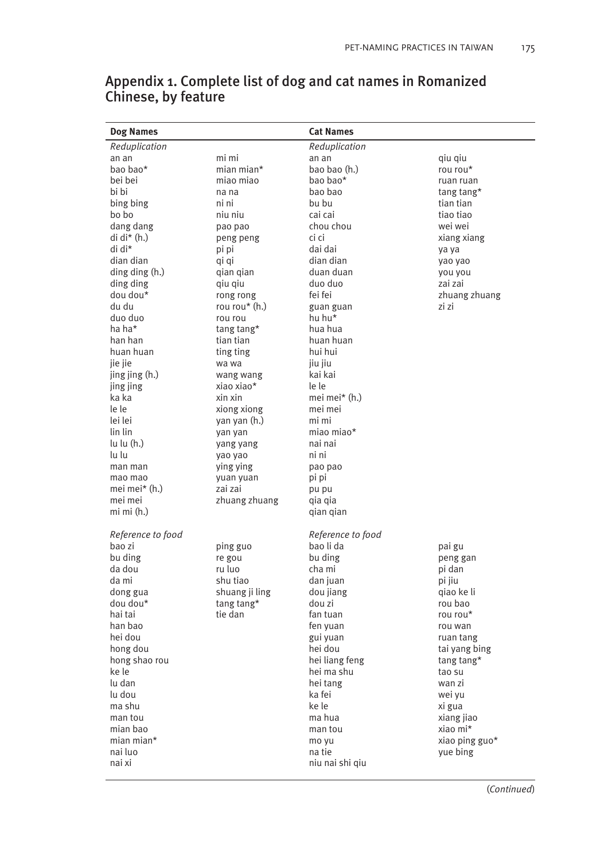| Dog Names                |                      | <b>Cat Names</b>  |                |
|--------------------------|----------------------|-------------------|----------------|
| Reduplication            |                      | Reduplication     |                |
| an an                    | mi mi                | an an             | qiu qiu        |
| bao bao*                 | mian mian*           | bao bao (h.)      | rou rou*       |
| bei bei                  | miao miao            | bao bao*          | ruan ruan      |
| bi bi                    | na na                | bao bao           | tang tang*     |
| bing bing                | ni ni                | bu bu             | tian tian      |
| bo bo                    | niu niu              | cai cai           | tiao tiao      |
| dang dang                | pao pao              | chou chou         | wei wei        |
| di di* $(h.)$            | peng peng            | ci ci             | xiang xiang    |
| di di*                   | pi pi                | dai dai           | ya ya          |
| dian dian                | qi qi                | dian dian         | yao yao        |
| ding ding (h.)           | qian qian            | duan duan         | you you        |
| ding ding                | qiu qiu              | duo duo           | zai zai        |
| dou dou*                 | rong rong            | fei fei           | zhuang zhuang  |
| du du                    | rou rou $*(h.)$      | guan guan         | zi zi          |
| duo duo                  | rou rou              | hu hu*            |                |
| ha ha*                   | tang tang*           | hua hua           |                |
| han han                  | tian tian            | huan huan         |                |
| huan huan                | ting ting            | hui hui           |                |
| jie jie                  | wa wa                | jiu jiu           |                |
| jing jing (h.)           | wang wang            | kai kai           |                |
| jing jing                | xiao xiao*           | le le             |                |
| ka ka                    | xin xin              | mei mei* (h.)     |                |
| le le                    | xiong xiong          | mei mei           |                |
| lei lei                  | yan yan (h.)         | mi mi             |                |
| lin lin                  | yan yan              | miao miao*        |                |
| lu lu (h.)               | yang yang            | nai nai           |                |
| lu lu                    | yao yao              | ni ni             |                |
| man man                  | ying ying            | pao pao           |                |
| mao mao<br>mei mei* (h.) | yuan yuan<br>zai zai | pi pi             |                |
| mei mei                  | zhuang zhuang        | pu pu<br>qia qia  |                |
| mi mi (h.)               |                      | qian qian         |                |
|                          |                      |                   |                |
| Reference to food        |                      | Reference to food |                |
| bao zi                   | ping guo             | bao li da         | pai gu         |
| bu ding                  | re gou               | bu ding           | peng gan       |
| da dou                   | ru luo               | cha mi            | pi dan         |
| da mi                    | shu tiao             | dan juan          | pi jiu         |
| dong gua                 | shuang ji ling       | dou jiang         | giao ke li     |
| dou dou*                 | tang tang*           | dou zi            | rou bao        |
| hai tai                  | tie dan              | fan tuan          | rou rou*       |
| han bao                  |                      | fen yuan          | rou wan        |
| hei dou                  |                      | gui yuan          | ruan tang      |
| hong dou                 |                      | hei dou           | tai yang bing  |
| hong shao rou            |                      | hei liang feng    | tang tang*     |
| ke le                    |                      | hei ma shu        | tao su         |
| lu dan                   |                      | hei tang          | wan zi         |
| lu dou                   |                      | ka fei            | wei yu         |
| ma shu                   |                      | ke le             | xi gua         |
| man tou                  |                      | ma hua            | xiang jiao     |
| mian bao                 |                      | man tou           | xiao mi*       |
| mian mian*               |                      | mo yu             | xiao ping guo* |
| nai luo                  |                      | na tie            | yue bing       |
| nai xi                   |                      | niu nai shi qiu   |                |

### Appendix 1. Complete list of dog and cat names in Romanized Chinese, by feature

(*Continued*)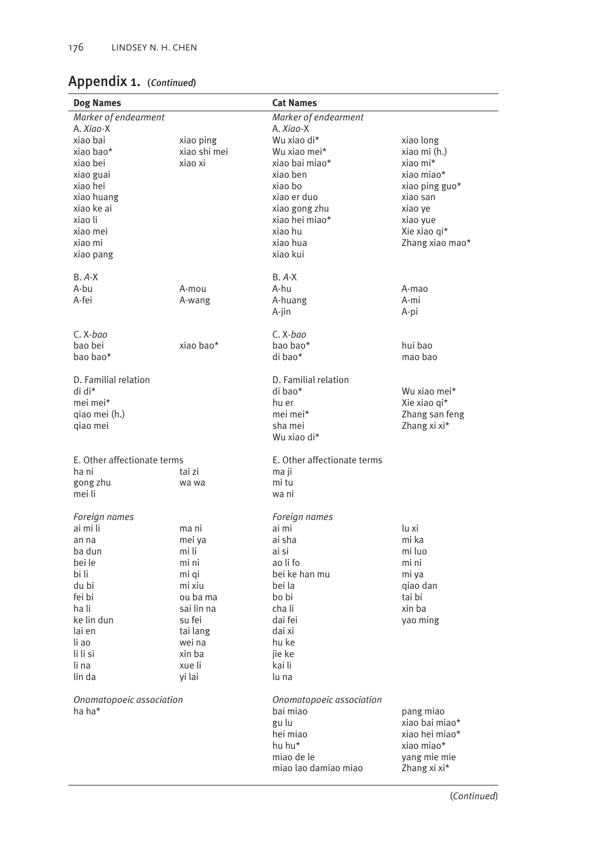## Appendix 1. (Continued)

| <b>Dog Names</b>            |              | <b>Cat Names</b>            |                 |
|-----------------------------|--------------|-----------------------------|-----------------|
| Marker of endearment        |              | Marker of endearment        |                 |
| A. Xiao-X                   |              | A. Xiao-X                   |                 |
| xiao bai                    | xiao ping    | Wu xiao di*                 | xiao long       |
| xiao bao*                   | xiao shi mei | Wu xiao mei*                | xiao mi (h.)    |
| xiao bei                    | xiao xi      | xiao bai miao*              | xiao mi*        |
| xiao guai                   |              | xiao ben                    | xiao miao*      |
| xiao hei                    |              | xiao bo                     | xiao ping guo*  |
| xiao huang                  |              | xiao er duo                 | xiao san        |
| xiao ke ai                  |              | xiao gong zhu               | xiao ye         |
| xiao li                     |              | xiao hei miao*              | xiao yue        |
| xiao mei                    |              | xiao hu                     | Xie xiao qi*    |
| xiao mi                     |              | xiao hua                    | Zhang xiao mao* |
| xiao pang                   |              | xiao kui                    |                 |
|                             |              |                             |                 |
| $B. A-X$                    |              | $B. A-X$                    |                 |
| A-bu                        | A-mou        | A-hu                        | A-mao           |
| A-fei                       | A-wang       | A-huang                     | A-mi            |
|                             |              | A-jin                       | A-pi            |
|                             |              |                             |                 |
| C.X-bao                     |              | C.X-bao                     |                 |
| bao bei                     | xiao bao*    | bao bao*                    | hui bao         |
| bao bao*                    |              | di bao*                     | mao bao         |
| D. Familial relation        |              | D. Familial relation        |                 |
| *ih ih                      |              | di bao*                     | Wu xiao mei*    |
| mei mei*                    |              | hu er                       | Xie xiao qi*    |
| qiao mei (h.)               |              | mei mei*                    | Zhang san feng  |
| giao mei                    |              | sha mei                     | Zhang xi xi*    |
|                             |              | Wu xiao di*                 |                 |
|                             |              |                             |                 |
| E. Other affectionate terms |              | E. Other affectionate terms |                 |
| ha ni                       | tai zi       | ma ji                       |                 |
| gong zhu                    | wa wa        | mi tu                       |                 |
| mei li                      |              | wa ni                       |                 |
|                             |              |                             |                 |
| Foreign names               |              | Foreign names               |                 |
| ai mi li                    | ma ni        | ai mi                       | lu xi           |
| an na                       | mei ya       | ai sha                      | mi ka           |
| ba dun                      | mi li        | ai si                       | mi luo          |
| bei le                      | mi ni        | ao li fo                    | mi ni           |
| bi li                       | mi gi        | bei ke han mu               | mi ya           |
| du bi                       | mi xiu       | bei la                      | qiao dan        |
| fei bi                      | ou ba ma     | bo bi                       | tai bi          |
| ha li                       | sai lin na   | cha li                      | xin ba          |
| ke lin dun                  | su fei       | dai fei                     | yao ming        |
| lai en                      | tai lang     | dai xi                      |                 |
| li ao                       | wei na       | hu ke                       |                 |
| li li si                    | xin ba       | jie ke                      |                 |
| li na                       | xue li       | kai li                      |                 |
| lin da                      | vi lai       | lu na                       |                 |
| Onomatopoeic association    |              | Onomatopoeic association    |                 |
| ha ha*                      |              | bai miao                    | pang miao       |
|                             |              | gu lu                       | xiao bai miao*  |
|                             |              | hei miao                    | xiao hei miao*  |
|                             |              | hu hu*                      | xiao miao*      |
|                             |              | miao de le                  | vang mie mie    |
|                             |              | miao lao damiao miao        | Zhang xi xi*    |
|                             |              |                             |                 |

(*Continued*)